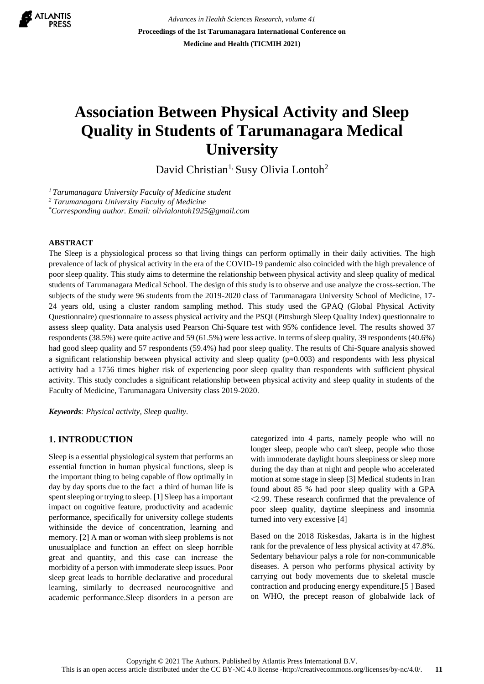

*Advances in Health Sciences Research, volume 41* **Proceedings of the 1st Tarumanagara International Conference on Medicine and Health (TICMIH 2021)**

# **Association Between Physical Activity and Sleep Quality in Students of Tarumanagara Medical University**

David Christian<sup>1,</sup> Susy Olivia Lontoh<sup>2</sup>

*<sup>1</sup>Tarumanagara University Faculty of Medicine student*

*<sup>2</sup> Tarumanagara University Faculty of Medicine*

*\*Corresponding author. Email: olivialontoh1925@gmail.com*

#### **ABSTRACT**

The Sleep is a physiological process so that living things can perform optimally in their daily activities. The high prevalence of lack of physical activity in the era of the COVID-19 pandemic also coincided with the high prevalence of poor sleep quality. This study aims to determine the relationship between physical activity and sleep quality of medical students of Tarumanagara Medical School. The design of this study is to observe and use analyze the cross-section. The subjects of the study were 96 students from the 2019-2020 class of Tarumanagara University School of Medicine, 17- 24 years old, using a cluster random sampling method. This study used the GPAQ (Global Physical Activity Questionnaire) questionnaire to assess physical activity and the PSQI (Pittsburgh Sleep Quality Index) questionnaire to assess sleep quality. Data analysis used Pearson Chi-Square test with 95% confidence level. The results showed 37 respondents (38.5%) were quite active and 59 (61.5%) were less active. In terms of sleep quality, 39 respondents (40.6%) had good sleep quality and 57 respondents (59.4%) had poor sleep quality. The results of Chi-Square analysis showed a significant relationship between physical activity and sleep quality  $(p=0.003)$  and respondents with less physical activity had a 1756 times higher risk of experiencing poor sleep quality than respondents with sufficient physical activity. This study concludes a significant relationship between physical activity and sleep quality in students of the Faculty of Medicine, Tarumanagara University class 2019-2020.

*Keywords: Physical activity, Sleep quality.*

#### **1. INTRODUCTION**

Sleep is a essential physiological system that performs an essential function in human physical functions, sleep is the important thing to being capable of flow optimally in day by day sports due to the fact a third of human life is spent sleeping or trying to sleep. [1] Sleep has a important impact on cognitive feature, productivity and academic performance, specifically for university college students withinside the device of concentration, learning and memory. [2] A man or woman with sleep problems is not unusualplace and function an effect on sleep horrible great and quantity, and this case can increase the morbidity of a person with immoderate sleep issues. Poor sleep great leads to horrible declarative and procedural learning, similarly to decreased neurocognitive and academic performance.Sleep disorders in a person are categorized into 4 parts, namely people who will no longer sleep, people who can't sleep, people who those with immoderate daylight hours sleepiness or sleep more during the day than at night and people who accelerated motion at some stage in sleep [3] Medical students in Iran found about 85 % had poor sleep quality with a GPA <2.99. These research confirmed that the prevalence of poor sleep quality, daytime sleepiness and insomnia turned into very excessive [4]

Based on the 2018 Riskesdas, Jakarta is in the highest rank for the prevalence of less physical activity at 47.8%. Sedentary behaviour palys a role for non-communicable diseases. A person who performs physical activity by carrying out body movements due to skeletal muscle contraction and producing energy expenditure.[5 ] Based on WHO, the precept reason of globalwide lack of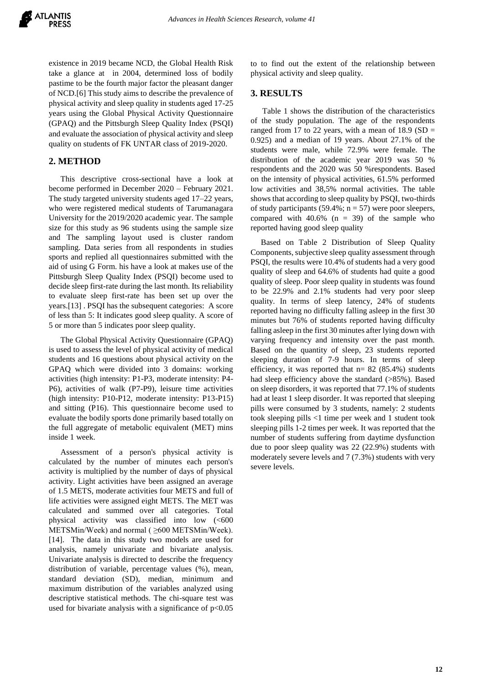existence in 2019 became NCD, the Global Health Risk take a glance at in 2004, determined loss of bodily pastime to be the fourth major factor the pleasant danger of NCD.[6] This study aims to describe the prevalence of physical activity and sleep quality in students aged 17-25 years using the Global Physical Activity Questionnaire (GPAQ) and the Pittsburgh Sleep Quality Index (PSQI) and evaluate the association of physical activity and sleep quality on students of FK UNTAR class of 2019-2020.

## **2. METHOD**

This descriptive cross-sectional have a look at become performed in December 2020 – February 2021. The study targeted university students aged 17–22 years, who were registered medical students of Tarumanagara University for the 2019/2020 academic year. The sample size for this study as 96 students using the sample size and The sampling layout used is cluster random sampling. Data series from all respondents in studies sports and replied all questionnaires submitted with the aid of using G Form. his have a look at makes use of the Pittsburgh Sleep Quality Index (PSQI) become used to decide sleep first-rate during the last month. Its reliability to evaluate sleep first-rate has been set up over the years.[13] . PSQI has the subsequent categories: A score of less than 5: It indicates good sleep quality. A score of 5 or more than 5 indicates poor sleep quality.

The Global Physical Activity Questionnaire (GPAQ) is used to assess the level of physical activity of medical students and 16 questions about physical activity on the GPAQ which were divided into 3 domains: working activities (high intensity: P1-P3, moderate intensity: P4- P6), activities of walk (P7-P9), leisure time activities (high intensity: P10-P12, moderate intensity: P13-P15) and sitting (P16). This questionnaire become used to evaluate the bodily sports done primarily based totally on the full aggregate of metabolic equivalent (MET) mins inside 1 week.

Assessment of a person's physical activity is calculated by the number of minutes each person's activity is multiplied by the number of days of physical activity. Light activities have been assigned an average of 1.5 METS, moderate activities four METS and full of life activities were assigned eight METS. The MET was calculated and summed over all categories. Total physical activity was classified into low (<600 METSMin/Week) and normal ( ≥600 METSMin/Week). [14]. The data in this study two models are used for analysis, namely univariate and bivariate analysis. Univariate analysis is directed to describe the frequency distribution of variable, percentage values (%), mean, standard deviation (SD), median, minimum and maximum distribution of the variables analyzed using descriptive statistical methods. The chi-square test was used for bivariate analysis with a significance of  $p<0.05$ 

to to find out the extent of the relationship between physical activity and sleep quality.

#### **3. RESULTS**

Table 1 shows the distribution of the characteristics of the study population. The age of the respondents ranged from 17 to 22 years, with a mean of  $18.9$  (SD = 0.925) and a median of 19 years. About 27.1% of the students were male, while 72.9% were female. The distribution of the academic year 2019 was 50 % respondents and the 2020 was 50 %respondents. Based on the intensity of physical activities, 61.5% performed low activities and 38,5% normal activities. The table shows that according to sleep quality by PSQI, two-thirds of study participants (59.4%;  $n = 57$ ) were poor sleepers, compared with  $40.6\%$  (n = 39) of the sample who reported having good sleep quality

 Based on Table 2 Distribution of Sleep Quality Components, subjective sleep quality assessment through PSQI, the results were 10.4% of students had a very good quality of sleep and 64.6% of students had quite a good quality of sleep. Poor sleep quality in students was found to be 22.9% and 2.1% students had very poor sleep quality. In terms of sleep latency, 24% of students reported having no difficulty falling asleep in the first 30 minutes but 76% of students reported having difficulty falling asleep in the first 30 minutes after lying down with varying frequency and intensity over the past month. Based on the quantity of sleep, 23 students reported sleeping duration of 7-9 hours. In terms of sleep efficiency, it was reported that  $n= 82$  (85.4%) students had sleep efficiency above the standard (>85%). Based on sleep disorders, it was reported that 77.1% of students had at least 1 sleep disorder. It was reported that sleeping pills were consumed by 3 students, namely: 2 students took sleeping pills <1 time per week and 1 student took sleeping pills 1-2 times per week. It was reported that the number of students suffering from daytime dysfunction due to poor sleep quality was 22 (22.9%) students with moderately severe levels and 7 (7.3%) students with very severe levels.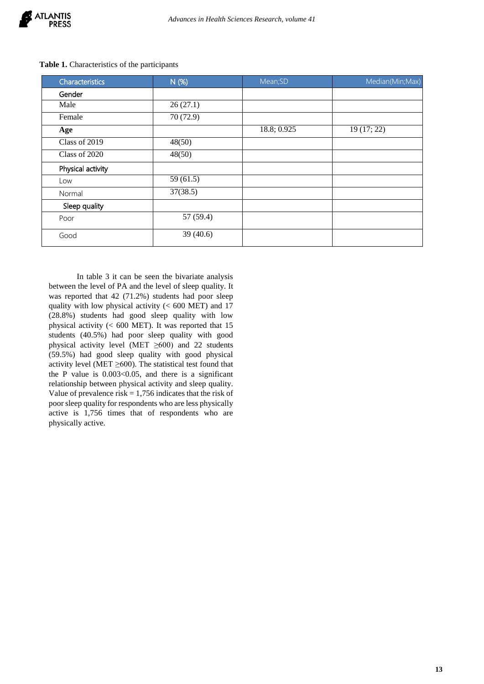

| Characteristics   | N (%)     | Mean;SD     | Median(Min;Max) |  |
|-------------------|-----------|-------------|-----------------|--|
| Gender            |           |             |                 |  |
| Male              | 26(27.1)  |             |                 |  |
| Female            | 70 (72.9) |             |                 |  |
| Age               |           | 18.8; 0.925 | 19(17; 22)      |  |
| Class of 2019     | 48(50)    |             |                 |  |
| Class of 2020     | 48(50)    |             |                 |  |
| Physical activity |           |             |                 |  |
| Low               | 59(61.5)  |             |                 |  |
| Normal            | 37(38.5)  |             |                 |  |
| Sleep quality     |           |             |                 |  |
| Poor              | 57 (59.4) |             |                 |  |
| Good              | 39(40.6)  |             |                 |  |

**Table 1.** Characteristics of the participants

 In table 3 it can be seen the bivariate analysis between the level of PA and the level of sleep quality. It was reported that 42 (71.2%) students had poor sleep quality with low physical activity (< 600 MET) and 17 (28.8%) students had good sleep quality with low physical activity  $(< 600$  MET). It was reported that 15 students (40.5%) had poor sleep quality with good physical activity level (MET ≥600) and 22 students (59.5%) had good sleep quality with good physical activity level (MET  $\geq$ 600). The statistical test found that the P value is  $0.003<0.05$ , and there is a significant relationship between physical activity and sleep quality. Value of prevalence risk  $= 1,756$  indicates that the risk of poor sleep quality for respondents who are less physically active is 1,756 times that of respondents who are physically active.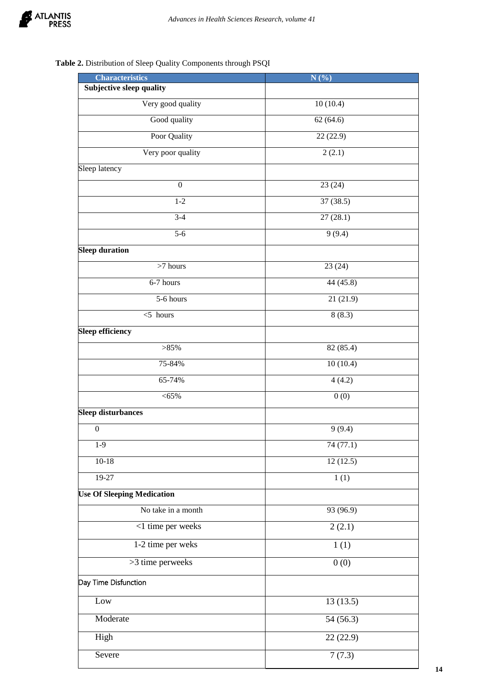

## **Table 2.** Distribution of Sleep Quality Components through PSQI

| <b>Characteristics</b>            | N(%)      |  |  |
|-----------------------------------|-----------|--|--|
| <b>Subjective sleep quality</b>   |           |  |  |
| Very good quality                 | 10(10.4)  |  |  |
| Good quality                      | 62(64.6)  |  |  |
| Poor Quality                      | 22(22.9)  |  |  |
| Very poor quality                 | 2(2.1)    |  |  |
| Sleep latency                     |           |  |  |
| $\boldsymbol{0}$                  | 23(24)    |  |  |
| $1 - 2$                           | 37(38.5)  |  |  |
| $3-4$                             | 27(28.1)  |  |  |
| $5 - 6$                           | 9(9.4)    |  |  |
| <b>Sleep duration</b>             |           |  |  |
| $>7$ hours                        | 23(24)    |  |  |
| 6-7 hours                         | 44 (45.8) |  |  |
| 5-6 hours                         | 21(21.9)  |  |  |
| $<$ 5 hours                       | 8(8.3)    |  |  |
| <b>Sleep efficiency</b>           |           |  |  |
| >85%                              | 82 (85.4) |  |  |
| 75-84%                            | 10(10.4)  |  |  |
| 65-74%                            | 4(4.2)    |  |  |
| $<$ 65%                           | 0(0)      |  |  |
| <b>Sleep disturbances</b>         |           |  |  |
| $\boldsymbol{0}$                  | 9(9.4)    |  |  |
| $1-9$                             | 74 (77.1) |  |  |
| $10-18$                           | 12(12.5)  |  |  |
| $19-27$                           | 1(1)      |  |  |
| <b>Use Of Sleeping Medication</b> |           |  |  |
| No take in a month                | 93(96.9)  |  |  |
| <1 time per weeks                 | 2(2.1)    |  |  |
| 1-2 time per weks                 | 1(1)      |  |  |
| >3 time perweeks                  | 0(0)      |  |  |
| Day Time Disfunction              |           |  |  |
| Low                               | 13(13.5)  |  |  |
| Moderate                          | 54(56.3)  |  |  |
| High                              | 22 (22.9) |  |  |
| Severe                            | 7(7.3)    |  |  |

**14**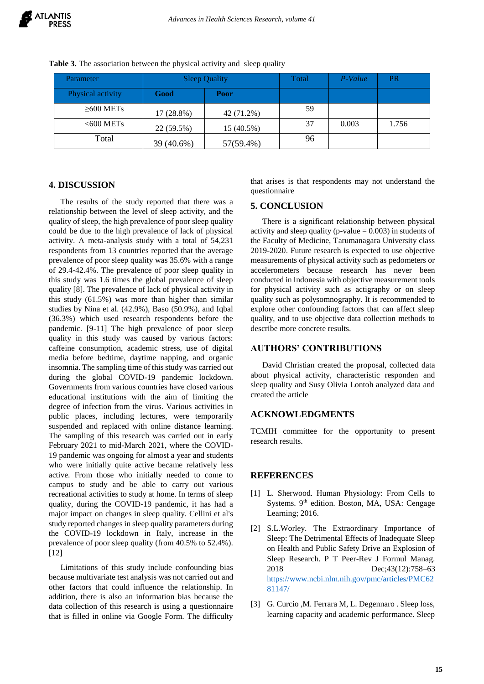| Parameter         | <b>Sleep Quality</b> |            | Total | P-Value | PR    |
|-------------------|----------------------|------------|-------|---------|-------|
| Physical activity | Good                 | Poor       |       |         |       |
| $\geq 600$ METs   | 17 (28.8%)           | 42 (71.2%) | 59    |         |       |
| $<$ 600 METs      | 22 (59.5%)           | 15 (40.5%) | 37    | 0.003   | 1.756 |
| Total             | 39 (40.6%)           | 57(59.4%)  | 96    |         |       |

**Table 3.** The association between the physical activity and sleep quality

## **4. DISCUSSION**

The results of the study reported that there was a relationship between the level of sleep activity, and the quality of sleep, the high prevalence of poor sleep quality could be due to the high prevalence of lack of physical activity. A meta-analysis study with a total of 54,231 respondents from 13 countries reported that the average prevalence of poor sleep quality was 35.6% with a range of 29.4-42.4%. The prevalence of poor sleep quality in this study was 1.6 times the global prevalence of sleep quality [8]. The prevalence of lack of physical activity in this study (61.5%) was more than higher than similar studies by Nina et al. (42.9%), Baso (50.9%), and Iqbal (36.3%) which used research respondents before the pandemic. [9-11] The high prevalence of poor sleep quality in this study was caused by various factors: caffeine consumption, academic stress, use of digital media before bedtime, daytime napping, and organic insomnia. The sampling time of this study was carried out during the global COVID-19 pandemic lockdown. Governments from various countries have closed various educational institutions with the aim of limiting the degree of infection from the virus. Various activities in public places, including lectures, were temporarily suspended and replaced with online distance learning. The sampling of this research was carried out in early February 2021 to mid-March 2021, where the COVID-19 pandemic was ongoing for almost a year and students who were initially quite active became relatively less active. From those who initially needed to come to campus to study and be able to carry out various recreational activities to study at home. In terms of sleep quality, during the COVID-19 pandemic, it has had a major impact on changes in sleep quality. Cellini et al's study reported changes in sleep quality parameters during the COVID-19 lockdown in Italy, increase in the prevalence of poor sleep quality (from 40.5% to 52.4%). [12]

Limitations of this study include confounding bias because multivariate test analysis was not carried out and other factors that could influence the relationship. In addition, there is also an information bias because the data collection of this research is using a questionnaire that is filled in online via Google Form. The difficulty that arises is that respondents may not understand the questionnaire

#### **5. CONCLUSION**

There is a significant relationship between physical activity and sleep quality (p-value  $= 0.003$ ) in students of the Faculty of Medicine, Tarumanagara University class 2019-2020. Future research is expected to use objective measurements of physical activity such as pedometers or accelerometers because research has never been conducted in Indonesia with objective measurement tools for physical activity such as actigraphy or on sleep quality such as polysomnography. It is recommended to explore other confounding factors that can affect sleep quality, and to use objective data collection methods to describe more concrete results.

#### **AUTHORS' CONTRIBUTIONS**

David Christian created the proposal, collected data about physical activity, characteristic responden and sleep quality and Susy Olivia Lontoh analyzed data and created the article

## **ACKNOWLEDGMENTS**

TCMIH committee for the opportunity to present research results.

## **REFERENCES**

- [1] L. Sherwood. Human Physiology: From Cells to Systems.  $9<sup>th</sup>$  edition. Boston, MA, USA: Cengage Learning; 2016.
- [2] S.L.Worley. The Extraordinary Importance of Sleep: The Detrimental Effects of Inadequate Sleep on Health and Public Safety Drive an Explosion of Sleep Research. P T Peer-Rev J Formul Manag. 2018 Dec;43(12):758–63 [https://www.ncbi.nlm.nih.gov/pmc/articles/PMC62](https://www.ncbi.nlm.nih.gov/pmc/articles/PMC6281147/) [81147/](https://www.ncbi.nlm.nih.gov/pmc/articles/PMC6281147/)
- [3] G. Curcio , M. Ferrara M, L. Degennaro . Sleep loss, learning capacity and academic performance. Sleep